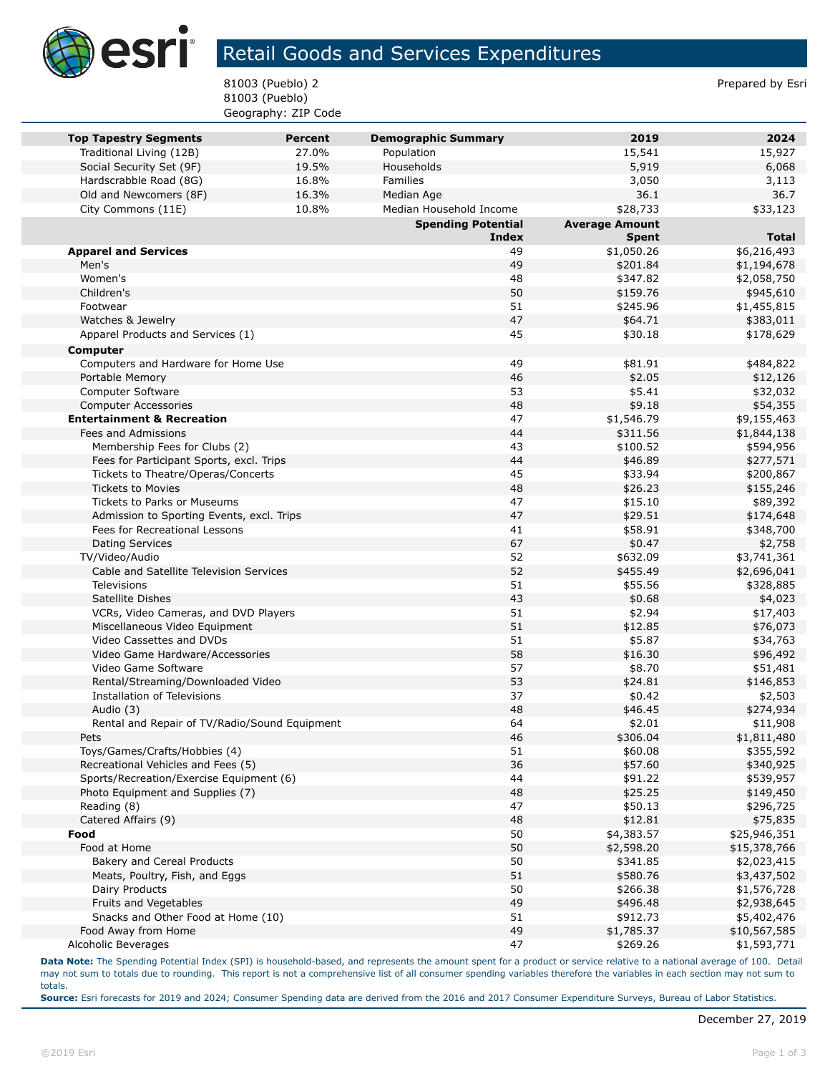

## Retail Goods and Services Expenditures

81003 (Pueblo) 2 Prepared by Esri 81003 (Pueblo) Geography: ZIP Code

| <b>Top Tapestry Segments</b>                                               | <b>Percent</b> | <b>Demographic Summary</b> | 2019                   | 2024                        |
|----------------------------------------------------------------------------|----------------|----------------------------|------------------------|-----------------------------|
| Traditional Living (12B)                                                   | 27.0%          | Population                 | 15,541                 | 15,927                      |
| Social Security Set (9F)                                                   | 19.5%          | Households                 | 5,919                  | 6,068                       |
| Hardscrabble Road (8G)                                                     | 16.8%          | Families                   | 3,050                  | 3,113                       |
| Old and Newcomers (8F)                                                     | 16.3%          | Median Age                 | 36.1                   | 36.7                        |
| City Commons (11E)                                                         | 10.8%          | Median Household Income    | \$28,733               | \$33,123                    |
|                                                                            |                | <b>Spending Potential</b>  | <b>Average Amount</b>  |                             |
|                                                                            |                | <b>Index</b>               | <b>Spent</b>           | <b>Total</b>                |
| <b>Apparel and Services</b>                                                |                | 49                         | \$1,050.26             | \$6,216,493                 |
| Men's                                                                      |                | 49                         | \$201.84               | \$1,194,678                 |
| Women's                                                                    |                | 48                         | \$347.82               | \$2,058,750                 |
| Children's                                                                 |                | 50                         | \$159.76               | \$945,610                   |
| Footwear                                                                   |                | 51                         | \$245.96               | \$1,455,815                 |
| Watches & Jewelry                                                          |                | 47                         | \$64.71                | \$383,011                   |
| Apparel Products and Services (1)                                          |                | 45                         | \$30.18                | \$178,629                   |
| Computer                                                                   |                |                            |                        |                             |
| Computers and Hardware for Home Use                                        |                | 49                         | \$81.91                | \$484,822                   |
| Portable Memory                                                            |                | 46                         | \$2.05                 | \$12,126                    |
| Computer Software                                                          |                | 53                         | \$5.41                 | \$32,032                    |
| <b>Computer Accessories</b>                                                |                | 48                         | \$9.18                 | \$54,355                    |
| <b>Entertainment &amp; Recreation</b>                                      |                | 47                         | \$1,546.79             | \$9,155,463                 |
| Fees and Admissions                                                        |                | 44                         | \$311.56               | \$1,844,138                 |
| Membership Fees for Clubs (2)                                              |                | 43                         | \$100.52               | \$594,956                   |
| Fees for Participant Sports, excl. Trips                                   |                | 44                         | \$46.89                | \$277,571                   |
| Tickets to Theatre/Operas/Concerts                                         |                | 45                         | \$33.94                | \$200,867                   |
| <b>Tickets to Movies</b>                                                   |                | 48                         | \$26.23                | \$155,246                   |
| Tickets to Parks or Museums                                                |                | 47<br>47                   | \$15.10                | \$89,392                    |
| Admission to Sporting Events, excl. Trips<br>Fees for Recreational Lessons |                | 41                         | \$29.51<br>\$58.91     | \$174,648                   |
| <b>Dating Services</b>                                                     |                | 67                         |                        | \$348,700                   |
| TV/Video/Audio                                                             |                | 52                         | \$0.47<br>\$632.09     | \$2,758<br>\$3,741,361      |
| Cable and Satellite Television Services                                    |                | 52                         | \$455.49               | \$2,696,041                 |
| Televisions                                                                |                | 51                         | \$55.56                | \$328,885                   |
| Satellite Dishes                                                           |                | 43                         | \$0.68                 | \$4,023                     |
| VCRs, Video Cameras, and DVD Players                                       |                | 51                         | \$2.94                 | \$17,403                    |
| Miscellaneous Video Equipment                                              |                | 51                         | \$12.85                | \$76,073                    |
| Video Cassettes and DVDs                                                   |                | 51                         | \$5.87                 | \$34,763                    |
| Video Game Hardware/Accessories                                            |                | 58                         | \$16.30                | \$96,492                    |
| Video Game Software                                                        |                | 57                         | \$8.70                 | \$51,481                    |
| Rental/Streaming/Downloaded Video                                          |                | 53                         | \$24.81                | \$146,853                   |
| Installation of Televisions                                                |                | 37                         | \$0.42                 | \$2,503                     |
| Audio (3)                                                                  |                | 48                         | \$46.45                | \$274,934                   |
| Rental and Repair of TV/Radio/Sound Equipment                              |                | 64                         | \$2.01                 | \$11,908                    |
| Pets                                                                       |                | 46                         | \$306.04               | \$1,811,480                 |
| Toys/Games/Crafts/Hobbies (4)                                              |                | 51                         | \$60.08                | \$355,592                   |
| Recreational Vehicles and Fees (5)                                         |                | 36                         | \$57.60                | \$340,925                   |
| Sports/Recreation/Exercise Equipment (6)                                   |                | 44                         | \$91.22                | \$539,957                   |
| Photo Equipment and Supplies (7)                                           |                | 48                         | \$25.25                | \$149,450                   |
| Reading (8)                                                                |                | 47                         | \$50.13                | \$296,725                   |
| Catered Affairs (9)                                                        |                | 48                         | \$12.81                | \$75,835                    |
| Food                                                                       |                | 50                         | \$4,383.57             | \$25,946,351                |
| Food at Home                                                               |                | 50                         | \$2,598.20             | \$15,378,766                |
| Bakery and Cereal Products                                                 |                | 50                         | \$341.85               | \$2,023,415                 |
| Meats, Poultry, Fish, and Eggs                                             |                | 51                         | \$580.76               | \$3,437,502                 |
| Dairy Products                                                             |                | 50                         | \$266.38               | \$1,576,728                 |
| Fruits and Vegetables                                                      |                | 49                         | \$496.48               | \$2,938,645                 |
| Snacks and Other Food at Home (10)<br>Food Away from Home                  |                | 51<br>49                   | \$912.73<br>\$1,785.37 | \$5,402,476                 |
| Alcoholic Beverages                                                        |                | 47                         | \$269.26               | \$10,567,585<br>\$1,593,771 |
|                                                                            |                |                            |                        |                             |

**Data Note:** The Spending Potential Index (SPI) is household-based, and represents the amount spent for a product or service relative to a national average of 100. Detail may not sum to totals due to rounding. This report is not a comprehensive list of all consumer spending variables therefore the variables in each section may not sum to totals.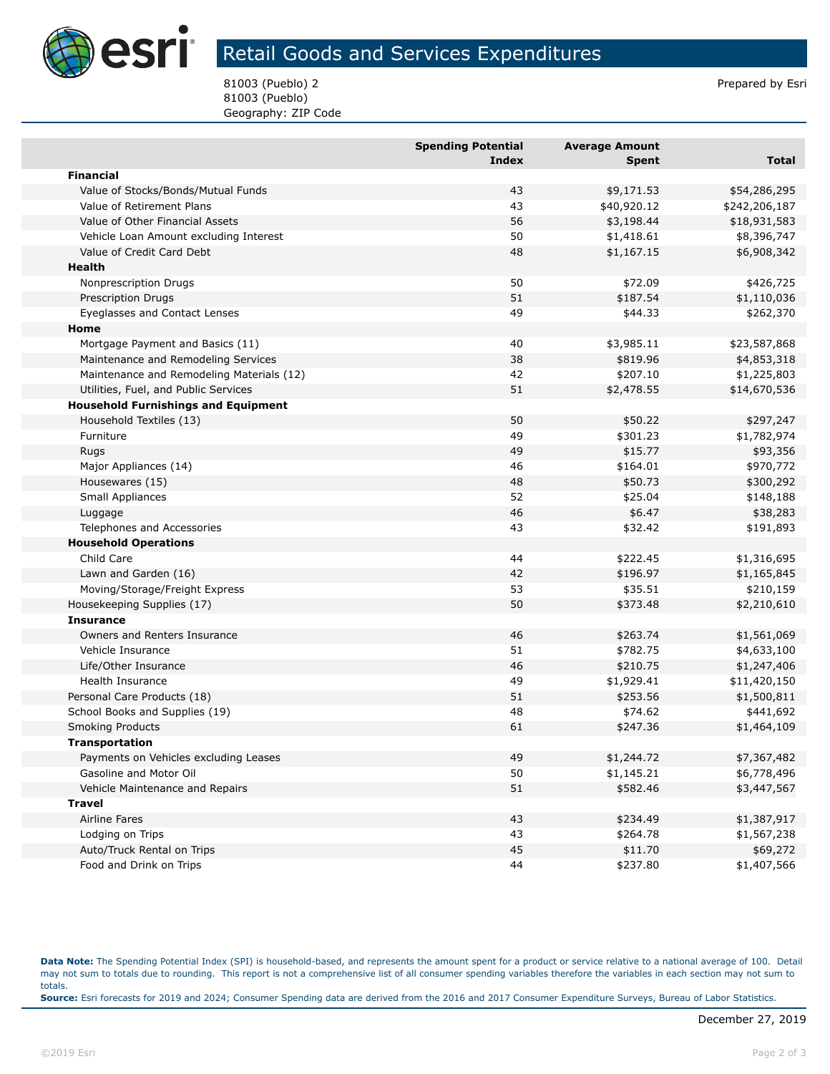

## Retail Goods and Services Expenditures

81003 (Pueblo) 2 Prepared by Esri 81003 (Pueblo) Geography: ZIP Code

|                                            | <b>Spending Potential</b> | <b>Average Amount</b> |               |
|--------------------------------------------|---------------------------|-----------------------|---------------|
|                                            | <b>Index</b>              | <b>Spent</b>          | Total         |
| <b>Financial</b>                           |                           |                       |               |
| Value of Stocks/Bonds/Mutual Funds         | 43                        | \$9,171.53            | \$54,286,295  |
| Value of Retirement Plans                  | 43                        | \$40,920.12           | \$242,206,187 |
| Value of Other Financial Assets            | 56                        | \$3,198.44            | \$18,931,583  |
| Vehicle Loan Amount excluding Interest     | 50                        | \$1,418.61            | \$8,396,747   |
| Value of Credit Card Debt                  | 48                        | \$1,167.15            | \$6,908,342   |
| Health                                     |                           |                       |               |
| Nonprescription Drugs                      | 50                        | \$72.09               | \$426,725     |
| <b>Prescription Drugs</b>                  | 51                        | \$187.54              | \$1,110,036   |
| Eyeglasses and Contact Lenses              | 49                        | \$44.33               | \$262,370     |
| Home                                       |                           |                       |               |
| Mortgage Payment and Basics (11)           | 40                        | \$3,985.11            | \$23,587,868  |
| Maintenance and Remodeling Services        | 38                        | \$819.96              | \$4,853,318   |
| Maintenance and Remodeling Materials (12)  | 42                        | \$207.10              | \$1,225,803   |
| Utilities, Fuel, and Public Services       | 51                        | \$2,478.55            | \$14,670,536  |
| <b>Household Furnishings and Equipment</b> |                           |                       |               |
| Household Textiles (13)                    | 50                        | \$50.22               | \$297,247     |
| Furniture                                  | 49                        | \$301.23              | \$1,782,974   |
| <b>Rugs</b>                                | 49                        | \$15.77               | \$93,356      |
| Major Appliances (14)                      | 46                        | \$164.01              | \$970,772     |
| Housewares (15)                            | 48                        | \$50.73               | \$300,292     |
| Small Appliances                           | 52                        | \$25.04               | \$148,188     |
| Luggage                                    | 46                        | \$6.47                | \$38,283      |
| Telephones and Accessories                 | 43                        | \$32.42               | \$191,893     |
| <b>Household Operations</b>                |                           |                       |               |
| Child Care                                 | 44                        | \$222.45              | \$1,316,695   |
| Lawn and Garden (16)                       | 42                        | \$196.97              | \$1,165,845   |
| Moving/Storage/Freight Express             | 53                        | \$35.51               | \$210,159     |
| Housekeeping Supplies (17)                 | 50                        | \$373.48              | \$2,210,610   |
| <b>Insurance</b>                           |                           |                       |               |
| Owners and Renters Insurance               | 46                        | \$263.74              | \$1,561,069   |
| Vehicle Insurance                          | 51                        | \$782.75              | \$4,633,100   |
| Life/Other Insurance                       | 46                        | \$210.75              | \$1,247,406   |
| Health Insurance                           | 49                        | \$1,929.41            | \$11,420,150  |
| Personal Care Products (18)                | 51                        | \$253.56              | \$1,500,811   |
| School Books and Supplies (19)             | 48                        | \$74.62               | \$441,692     |
| <b>Smoking Products</b>                    | 61                        | \$247.36              | \$1,464,109   |
| Transportation                             |                           |                       |               |
| Payments on Vehicles excluding Leases      | 49                        | \$1,244.72            | \$7,367,482   |
| Gasoline and Motor Oil                     | 50                        | \$1,145.21            | \$6,778,496   |
| Vehicle Maintenance and Repairs            | 51                        | \$582.46              | \$3,447,567   |
| <b>Travel</b>                              |                           |                       |               |
| Airline Fares                              | 43                        | \$234.49              | \$1,387,917   |
| Lodging on Trips                           | 43                        | \$264.78              | \$1,567,238   |
| Auto/Truck Rental on Trips                 | 45                        | \$11.70               | \$69,272      |
| Food and Drink on Trips                    | 44                        | \$237.80              | \$1,407,566   |

**Data Note:** The Spending Potential Index (SPI) is household-based, and represents the amount spent for a product or service relative to a national average of 100. Detail may not sum to totals due to rounding. This report is not a comprehensive list of all consumer spending variables therefore the variables in each section may not sum to totals. **Source:** Esri forecasts for 2019 and 2024; Consumer Spending data are derived from the 2016 and 2017 Consumer Expenditure Surveys, Bureau of Labor Statistics.